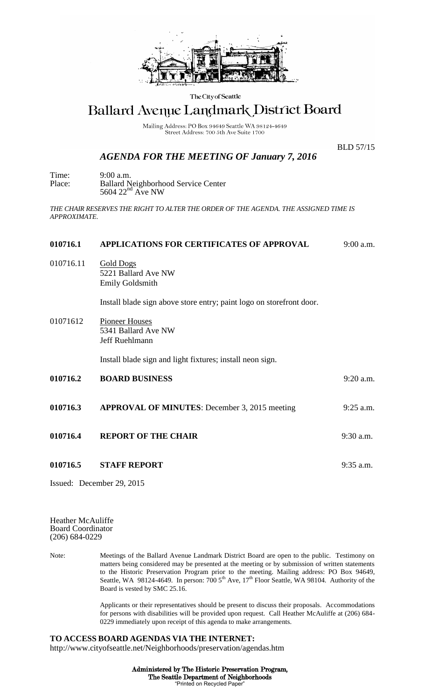

The City of Seattle

## Ballard Avenue Landmark District Board

Mailing Address: PO Box 94649 Seattle WA 98124-4649 Street Address: 700 5th Ave Suite 1700

## *AGENDA FOR THE MEETING OF January 7, 2016*

BLD 57/15

Time: 9:00 a.m. Place: Ballard Neighborhood Service Center  $5604$   $22<sup>nd</sup>$  Ave NW

*THE CHAIR RESERVES THE RIGHT TO ALTER THE ORDER OF THE AGENDA. THE ASSIGNED TIME IS APPROXIMATE.*

## **010716.1 APPLICATIONS FOR CERTIFICATES OF APPROVAL** 9:00 a.m. 010716.11 Gold Dogs 5221 Ballard Ave NW Emily Goldsmith Install blade sign above store entry; paint logo on storefront door. 01071612 Pioneer Houses 5341 Ballard Ave NW Jeff Ruehlmann Install blade sign and light fixtures; install neon sign. **010716.2 BOARD BUSINESS** 9:20 a.m. **010716.3 APPROVAL OF MINUTES**: December 3, 2015 meeting 9:25 a.m. **010716.4 REPORT OF THE CHAIR** 9:30 a.m. **010716.5 STAFF REPORT** 9:35 a.m. Issued: December 29, 2015

Heather McAuliffe Board Coordinator (206) 684-0229

Note: Meetings of the Ballard Avenue Landmark District Board are open to the public. Testimony on matters being considered may be presented at the meeting or by submission of written statements to the Historic Preservation Program prior to the meeting. Mailing address: PO Box 94649, Seattle, WA 98124-4649. In person: 700 5<sup>th</sup> Ave, 17<sup>th</sup> Floor Seattle, WA 98104. Authority of the Board is vested by SMC 25.16.

> Applicants or their representatives should be present to discuss their proposals. Accommodations for persons with disabilities will be provided upon request. Call Heather McAuliffe at (206) 684- 0229 immediately upon receipt of this agenda to make arrangements.

## **TO ACCESS BOARD AGENDAS VIA THE INTERNET:** http://www.cityofseattle.net/Neighborhoods/preservation/agendas.htm

Administered by The Historic Preservation Program, The Seattle Department of Neighborhoods "Printed on Recycled Paper"